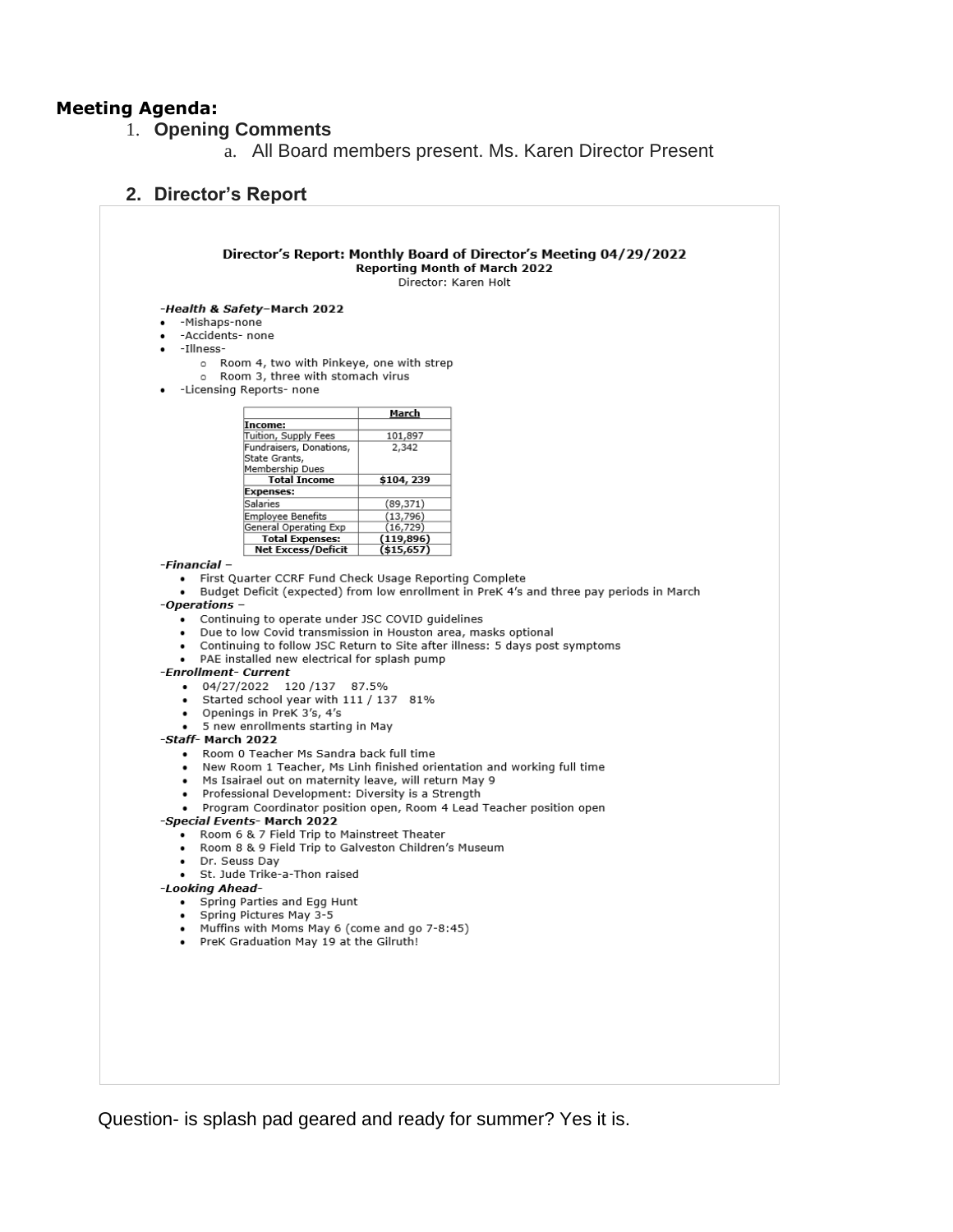## **Meeting Agenda:**

## 1. Opening Comments

a. All Board members present. Ms. Karen Director Present

### 2. Director's Report

### Director's Report: Monthly Board of Director's Meeting 04/29/2022 **Reporting Month of March 2022**

Director: Karen Holt

#### -Health & Safety-March 2022

- -Mishaps-none
- -Accidents- none
- -Illness
	- o Room 4, two with Pinkeye, one with strep
	- o Room 3, three with stomach virus
- -Licensing Reports- none

|                           | March         |
|---------------------------|---------------|
| Income:                   |               |
| Tuition, Supply Fees      | 101,897       |
| Fundraisers, Donations,   | 2,342         |
| State Grants,             |               |
| Membership Dues           |               |
| <b>Total Income</b>       | \$104, 239    |
| <b>Expenses:</b>          |               |
| Salaries                  | (89, 371)     |
| Employee Benefits         | (13, 796)     |
| General Operating Exp     | (16, 729)     |
| <b>Total Expenses:</b>    | (119, 896)    |
| <b>Net Excess/Deficit</b> | $($ \$15.657) |

#### -Financial -

- First Quarter CCRF Fund Check Usage Reporting Complete
- . Budget Deficit (expected) from low enrollment in PreK 4's and three pay periods in March -Operations -
	-
	- Continuing to operate under JSC COVID guidelines Due to low Covid transmission in Houston area, masks optional
	- Continuing to follow JSC Return to Site after illness: 5 days post symptoms
	- PAE installed new electrical for splash pump

#### -Enrollment- Current

- 04/27/2022 120 /137 87.5%
- Started school year with 111 / 137 81%
- Openings in PreK 3's, 4's  $\bullet$
- 5 new enrollments starting in May

#### -Staff- March 2022

- . Room 0 Teacher Ms Sandra back full time
- New Room 1 Teacher, Ms Linh finished orientation and working full time
- Ms Isairael out on maternity leave, will return May 9  $\bullet$
- · Professional Development: Diversity is a Strength
- Program Coordinator position open, Room 4 Lead Teacher position open
- -Special Events- March 2022
	- Room 6 & 7 Field Trip to Mainstreet Theater
	- Room 8 & 9 Field Trip to Galveston Children's Museum
	- · Dr. Seuss Day
	- St. Jude Trike-a-Thon raised
- -Looking Ahead-
	- Spring Parties and Egg Hunt
	- Spring Pictures May 3-5
	- . Muffins with Moms May 6 (come and go 7-8:45)
	- . PreK Graduation May 19 at the Gilruth!

Question- is splash pad geared and ready for summer? Yes it is.